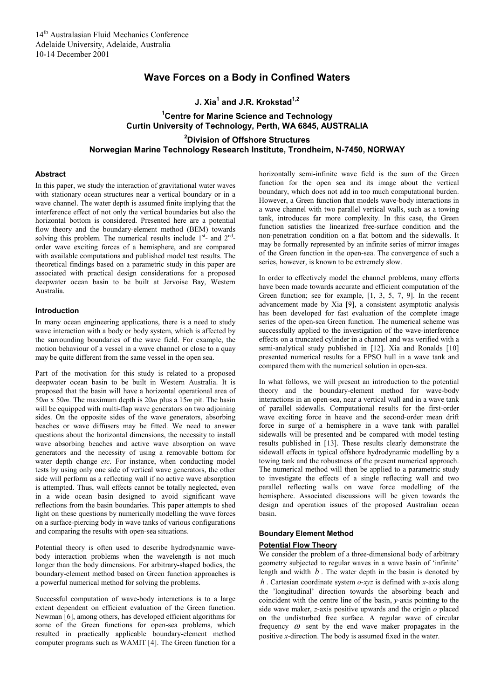## **Wave Forces on a Body in Confined Waters**

## **J. Xia1 and J.R. Krokstad1,2**

# **1 Centre for Marine Science and Technology Curtin University of Technology, Perth, WA 6845, AUSTRALIA 2 Division of Offshore Structures**

## **Norwegian Marine Technology Research Institute, Trondheim, N-7450, NORWAY**

## **Abstract**

In this paper, we study the interaction of gravitational water waves with stationary ocean structures near a vertical boundary or in a wave channel. The water depth is assumed finite implying that the interference effect of not only the vertical boundaries but also the horizontal bottom is considered. Presented here are a potential flow theory and the boundary-element method (BEM) towards solving this problem. The numerical results include  $1<sup>st</sup>$ - and  $2<sup>nd</sup>$ order wave exciting forces of a hemisphere, and are compared with available computations and published model test results. The theoretical findings based on a parametric study in this paper are associated with practical design considerations for a proposed deepwater ocean basin to be built at Jervoise Bay, Western Australia.

## **Introduction**

In many ocean engineering applications, there is a need to study wave interaction with a body or body system, which is affected by the surrounding boundaries of the wave field. For example, the motion behaviour of a vessel in a wave channel or close to a quay may be quite different from the same vessel in the open sea.

Part of the motivation for this study is related to a proposed deepwater ocean basin to be built in Western Australia. It is proposed that the basin will have a horizontal operational area of 50*m* x 50*m*. The maximum depth is 20*m* plus a 15*m* pit. The basin will be equipped with multi-flap wave generators on two adjoining sides. On the opposite sides of the wave generators, absorbing beaches or wave diffusers may be fitted. We need to answer questions about the horizontal dimensions, the necessity to install wave absorbing beaches and active wave absorption on wave generators and the necessity of using a removable bottom for water depth change *etc*. For instance, when conducting model tests by using only one side of vertical wave generators, the other side will perform as a reflecting wall if no active wave absorption is attempted. Thus, wall effects cannot be totally neglected, even in a wide ocean basin designed to avoid significant wave reflections from the basin boundaries. This paper attempts to shed light on these questions by numerically modelling the wave forces on a surface-piercing body in wave tanks of various configurations and comparing the results with open-sea situations.

Potential theory is often used to describe hydrodynamic wavebody interaction problems when the wavelength is not much longer than the body dimensions. For arbitrary-shaped bodies, the boundary-element method based on Green function approaches is a powerful numerical method for solving the problems.

Successful computation of wave-body interactions is to a large extent dependent on efficient evaluation of the Green function. Newman [6], among others, has developed efficient algorithms for some of the Green functions for open-sea problems, which resulted in practically applicable boundary-element method computer programs such as WAMIT [4]. The Green function for a horizontally semi-infinite wave field is the sum of the Green function for the open sea and its image about the vertical boundary, which does not add in too much computational burden. However, a Green function that models wave-body interactions in a wave channel with two parallel vertical walls, such as a towing tank, introduces far more complexity. In this case, the Green function satisfies the linearized free-surface condition and the non-penetration condition on a flat bottom and the sidewalls. It may be formally represented by an infinite series of mirror images of the Green function in the open-sea. The convergence of such a series, however, is known to be extremely slow.

In order to effectively model the channel problems, many efforts have been made towards accurate and efficient computation of the Green function; see for example, [1, 3, 5, 7, 9]. In the recent advancement made by Xia [9], a consistent asymptotic analysis has been developed for fast evaluation of the complete image series of the open-sea Green function. The numerical scheme was successfully applied to the investigation of the wave-interference effects on a truncated cylinder in a channel and was verified with a semi-analytical study published in [12]. Xia and Ronalds [10] presented numerical results for a FPSO hull in a wave tank and compared them with the numerical solution in open-sea.

In what follows, we will present an introduction to the potential theory and the boundary-element method for wave-body interactions in an open-sea, near a vertical wall and in a wave tank of parallel sidewalls. Computational results for the first-order wave exciting force in heave and the second-order mean drift force in surge of a hemisphere in a wave tank with parallel sidewalls will be presented and be compared with model testing results published in [13]. These results clearly demonstrate the sidewall effects in typical offshore hydrodynamic modelling by a towing tank and the robustness of the present numerical approach. The numerical method will then be applied to a parametric study to investigate the effects of a single reflecting wall and two parallel reflecting walls on wave force modelling of the hemisphere. Associated discussions will be given towards the design and operation issues of the proposed Australian ocean basin.

## **Boundary Element Method**

## **Potential Flow Theory**

We consider the problem of a three-dimensional body of arbitrary geometry subjected to regular waves in a wave basin of 'infinite' length and width *b* . The water depth in the basin is denoted by *h* . Cartesian coordinate system *o-xyz* is defined with *x-*axis along the 'longitudinal' direction towards the absorbing beach and coincident with the centre line of the basin, *y*-axis pointing to the side wave maker, *z*-axis positive upwards and the origin *o* placed on the undisturbed free surface. A regular wave of circular frequency  $\omega$  sent by the end wave maker propagates in the positive *x*-direction. The body is assumed fixed in the water.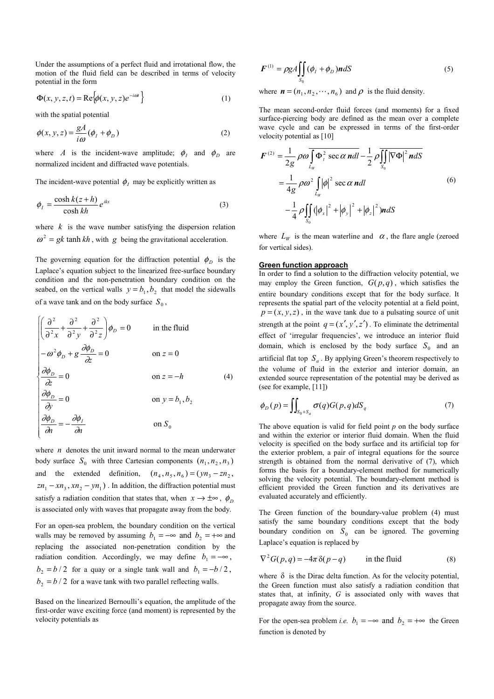Under the assumptions of a perfect fluid and irrotational flow, the motion of the fluid field can be described in terms of velocity potential in the form

$$
\Phi(x, y, z, t) = \text{Re}\{\phi(x, y, z)e^{-i\omega t}\}\tag{1}
$$

with the spatial potential

$$
\phi(x, y, z) = \frac{gA}{i\omega} (\phi_I + \phi_D)
$$
\n(2)

where *A* is the incident-wave amplitude;  $\phi_I$  and  $\phi_D$  are normalized incident and diffracted wave potentials.

The incident-wave potential  $\phi$ <sub>*I*</sub> may be explicitly written as

$$
\phi_I = \frac{\cosh k(z+h)}{\cosh kh} e^{ikx}
$$
\n(3)

where  $k$  is the wave number satisfying the dispersion relation  $\omega^2 = gk \tanh kh$ , with *g* being the gravitational acceleration.

The governing equation for the diffraction potential  $\phi$ <sub>*D*</sub> is the Laplace's equation subject to the linearized free-surface boundary condition and the non-penetration boundary condition on the seabed, on the vertical walls  $y = b_1, b_2$  that model the sidewalls of a wave tank and on the body surface  $S_0$ ,

$$
\begin{cases}\n\left(\frac{\partial^2}{\partial^2 x} + \frac{\partial^2}{\partial^2 y} + \frac{\partial^2}{\partial^2 z}\right)\phi_D = 0 & \text{in the fluid} \\
-\omega^2 \phi_D + g \frac{\partial \phi_D}{\partial z} = 0 & \text{on } z = 0\n\end{cases}
$$
\n
$$
\begin{aligned}\n\frac{\partial \phi_D}{\partial z} = 0 & \text{on } z = -h \\
\frac{\partial \phi_D}{\partial y} = 0 & \text{on } y = b_1, b_2 \\
\frac{\partial \phi_D}{\partial n} = -\frac{\partial \phi_I}{\partial n} & \text{on } S_0\n\end{aligned}
$$
\n(4)

where *n* denotes the unit inward normal to the mean underwater body surface  $S_0$  with three Cartesian components  $(n_1, n_2, n_3)$ and the extended definition,  $(n_4, n_5, n_6) = (yn_3 - zn_2,$  $zn_1 - xn_3, xn_2 - yn_1$ ). In addition, the diffraction potential must satisfy a radiation condition that states that, when  $x \to \pm \infty$ ,  $\phi_D$ is associated only with waves that propagate away from the body.

For an open-sea problem, the boundary condition on the vertical walls may be removed by assuming  $b_1 = -\infty$  and  $b_2 = +\infty$  and replacing the associated non-penetration condition by the radiation condition. Accordingly, we may define  $b_1 = -\infty$ ,  $b_2 = b/2$  for a quay or a single tank wall and  $b_1 = -b/2$ ,  $b_2 = b/2$  for a wave tank with two parallel reflecting walls.

Based on the linearized Bernoulli's equation, the amplitude of the first-order wave exciting force (and moment) is represented by the velocity potentials as

$$
\boldsymbol{F}^{(1)} = \rho g A \iint_{S_0} (\phi_I + \phi_D) \boldsymbol{n} dS \tag{5}
$$

where  $\mathbf{n} = (n_1, n_2, \dots, n_6)$  and  $\rho$  is the fluid density.

The mean second-order fluid forces (and moments) for a fixed surface-piercing body are defined as the mean over a complete wave cycle and can be expressed in terms of the first-order velocity potential as [10]

$$
\mathbf{F}^{(2)} = \frac{1}{2g} \rho \omega \int_{L_W} \Phi_t^2 \sec \alpha \, \mathbf{n} \, d\mathbf{l} - \frac{1}{2} \rho \int_{S_0} |\nabla \Phi|^2 \, \mathbf{n} \, dS
$$
\n
$$
= \frac{1}{4g} \rho \omega^2 \int_{L_W} |\phi|^2 \sec \alpha \, \mathbf{n} \, d\mathbf{l} - \frac{1}{4} \rho \int_{S_0} (|\phi_x|^2 + |\phi_y|^2 + |\phi_z|^2) \mathbf{n} \, dS
$$
\n(6)

where  $L_W$  is the mean waterline and  $\alpha$ , the flare angle (zeroed for vertical sides).

#### **Green function approach**

In order to find a solution to the diffraction velocity potential, we may employ the Green function,  $G(p,q)$ , which satisfies the entire boundary conditions except that for the body surface. It represents the spatial part of the velocity potential at a field point,  $p = (x, y, z)$ , in the wave tank due to a pulsating source of unit strength at the point  $q = (x', y', z')$ . To eliminate the detrimental effect of 'irregular frequencies', we introduce an interior fluid domain, which is enclosed by the body surface  $S_0$  and an artificial flat top  $S_a$ . By applying Green's theorem respectively to the volume of fluid in the exterior and interior domain, an extended source representation of the potential may be derived as (see for example, [11])

$$
\phi_D(p) = \iint_{S_0 + S_a} \sigma(q) G(p, q) dS_q \tag{7}
$$

The above equation is valid for field point *p* on the body surface and within the exterior or interior fluid domain. When the fluid velocity is specified on the body surface and its artificial top for the exterior problem, a pair of integral equations for the source strength is obtained from the normal derivative of (7), which forms the basis for a boundary-element method for numerically solving the velocity potential. The boundary-element method is efficient provided the Green function and its derivatives are evaluated accurately and efficiently.

The Green function of the boundary-value problem (4) must satisfy the same boundary conditions except that the body boundary condition on  $S_0$  can be ignored. The governing Laplace's equation is replaced by

$$
\nabla^2 G(p,q) = -4\pi \delta(p-q) \qquad \text{in the fluid} \tag{8}
$$

where  $\delta$  is the Dirac delta function. As for the velocity potential, the Green function must also satisfy a radiation condition that states that, at infinity, *G* is associated only with waves that propagate away from the source.

For the open-sea problem *i.e.*  $b_1 = -\infty$  and  $b_2 = +\infty$  the Green function is denoted by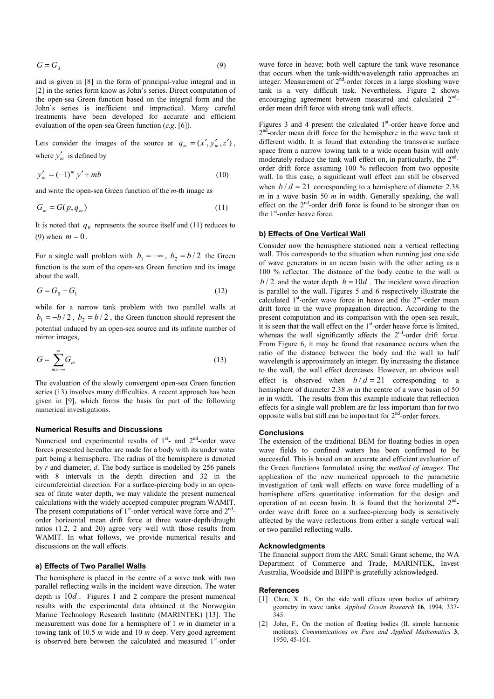$$
G = G_0 \tag{9}
$$

and is given in [8] in the form of principal-value integral and in [2] in the series form know as John's series. Direct computation of the open-sea Green function based on the integral form and the John's series is inefficient and impractical. Many careful treatments have been developed for accurate and efficient evaluation of the open-sea Green function (*e.g*. [6]).

Lets consider the images of the source at  $q_m = (x', y'_m, z')$ , where  $y'_m$  is defined by

$$
y'_m = (-1)^m y' + mb \tag{10}
$$

and write the open-sea Green function of the *m*-th image as

$$
G_m = G(p, q_m) \tag{11}
$$

It is noted that  $q_0$  represents the source itself and (11) reduces to (9) when  $m = 0$ .

For a single wall problem with  $b_1 = -\infty$ ,  $b_2 = b/2$  the Green function is the sum of the open-sea Green function and its image about the wall,

$$
G = G_0 + G_1 \tag{12}
$$

while for a narrow tank problem with two parallel walls at  $b_1 = -b/2$ ,  $b_2 = b/2$ , the Green function should represent the potential induced by an open-sea source and its infinite number of mirror images,

$$
G = \sum_{m = -\infty}^{\infty} G_m \tag{13}
$$

The evaluation of the slowly convergent open-sea Green function series (13) involves many difficulties. A recent approach has been given in [9], which forms the basis for part of the following numerical investigations.

#### **Numerical Results and Discussions**

Numerical and experimental results of  $1<sup>st</sup>$ - and  $2<sup>nd</sup>$ -order wave forces presented hereafter are made for a body with its under water part being a hemisphere. The radius of the hemisphere is denoted by *r* and diameter, *d*. The body surface is modelled by 256 panels with 8 intervals in the depth direction and 32 in the circumferential direction. For a surface-piercing body in an opensea of finite water depth, we may validate the present numerical calculations with the widely accepted computer program WAMIT. The present computations of  $1<sup>st</sup>$ -order vertical wave force and  $2<sup>nd</sup>$ order horizontal mean drift force at three water-depth/draught ratios (1.2, 2 and 20) agree very well with those results from WAMIT. In what follows, we provide numerical results and discussions on the wall effects.

## **a) Effects of Two Parallel Walls**

The hemisphere is placed in the centre of a wave tank with two parallel reflecting walls in the incident wave direction. The water depth is 10*d* . Figures 1 and 2 compare the present numerical results with the experimental data obtained at the Norwegian Marine Technology Research Institute (MARINTEK) [13]. The measurement was done for a hemisphere of 1 *m* in diameter in a towing tank of 10.5 *m* wide and 10 *m* deep. Very good agreement is observed here between the calculated and measured 1<sup>st</sup>-order

wave force in heave; both well capture the tank wave resonance that occurs when the tank-width/wavelength ratio approaches an integer. Measurement of  $2<sup>nd</sup>$ -order forces in a large sloshing wave tank is a very difficult task. Nevertheless, Figure 2 shows encouraging agreement between measured and calculated 2ndorder mean drift force with strong tank wall effects.

Figures 3 and 4 present the calculated  $1<sup>st</sup>$ -order heave force and  $2<sup>n\bar{d}</sup>$ -order mean drift force for the hemisphere in the wave tank at different width. It is found that extending the transverse surface space from a narrow towing tank to a wide ocean basin will only moderately reduce the tank wall effect on, in particularly, the  $2<sup>nd</sup>$ order drift force assuming 100 % reflection from two opposite wall. In this case, a significant wall effect can still be observed when  $b/d = 21$  corresponding to a hemisphere of diameter 2.38  $m$  in a wave basin 50  $m$  in width. Generally speaking, the wall effect on the 2<sup>nd</sup>-order drift force is found to be stronger than on the  $1<sup>st</sup>$ -order heave force.

### **b) Effects of One Vertical Wall**

Consider now the hemisphere stationed near a vertical reflecting wall. This corresponds to the situation when running just one side of wave generators in an ocean basin with the other acting as a 100 % reflector. The distance of the body centre to the wall is  $b/2$  and the water depth  $h = 10d$ . The incident wave direction is parallel to the wall. Figures 5 and 6 respectively illustrate the calculated  $1<sup>st</sup>$ -order wave force in heave and the  $2<sup>nd</sup>$ -order mean drift force in the wave propagation direction. According to the present computation and its comparison with the open-sea result, it is seen that the wall effect on the  $1<sup>st</sup>$ -order heave force is limited, whereas the wall significantly affects the  $2<sup>nd</sup>$ -order drift force. From Figure 6, it may be found that resonance occurs when the ratio of the distance between the body and the wall to half wavelength is approximately an integer. By increasing the distance to the wall, the wall effect decreases. However, an obvious wall effect is observed when  $b/d = 21$  corresponding to a hemisphere of diameter 2.38 *m* in the centre of a wave basin of 50 *m* in width. The results from this example indicate that reflection effects for a single wall problem are far less important than for two opposite walls but still can be important for  $2<sup>nd</sup>$ -order forces.

#### **Conclusions**

The extension of the traditional BEM for floating bodies in open wave fields to confined waters has been confirmed to be successful. This is based on an accurate and efficient evaluation of the Green functions formulated using the *method of images*. The application of the new numerical approach to the parametric investigation of tank wall effects on wave force modelling of a hemisphere offers quantitative information for the design and operation of an ocean basin. It is found that the horizontal  $2<sup>nd</sup>$ order wave drift force on a surface-piercing body is sensitively affected by the wave reflections from either a single vertical wall or two parallel reflecting walls.

#### **Acknowledgments**

The financial support from the ARC Small Grant scheme, the WA Department of Commerce and Trade, MARINTEK, Invest Australia, Woodside and BHPP is gratefully acknowledged.

#### **References**

- [1] Chen, X. B., On the side wall effects upon bodies of arbitrary geometry in wave tanks. *Applied Ocean Research* **16**, 1994, 337- 345.
- [2] John, F., On the motion of floating bodies (II. simple harmonic motions). *Communications on Pure and Applied Mathematics* **3**, 1950, 45-101.